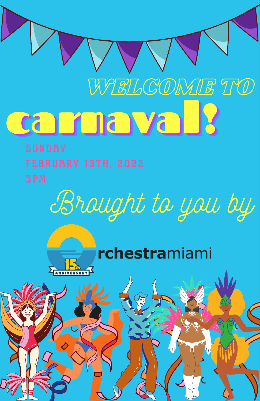# **Carnaval** WELCOME TO

Brought to you by

### rchestramiami

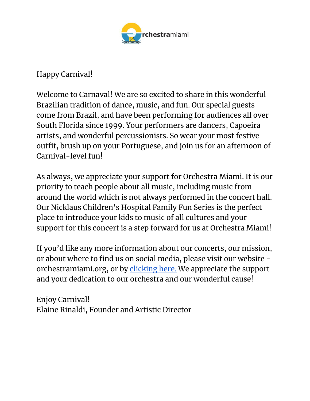

Happy Carnival!

Welcome to Carnaval! We are so excited to share in this wonderful Brazilian tradition of dance, music, and fun. Our special guests come from Brazil, and have been performing for audiences all over South Florida since 1999. Your performers are dancers, Capoeira artists, and wonderful percussionists. So wear your most festive outfit, brush up on your Portuguese, and join us for an afternoon of Carnival-level fun!

As always, we appreciate your support for Orchestra Miami. It is our priority to teach people about all music, including music from around the world which is not always performed in the concert hall. Our Nicklaus Children's Hospital Family Fun Series is the perfect place to introduce your kids to music of all cultures and your support for this concert is a step forward for us at Orchestra Miami!

If you'd like any more information about our concerts, our mission, or about where to find us on social media, please visit our website orchestramiami.org, or by [clicking here.](https://www.orchestramiami.org/) We appreciate the support and your dedication to our orchestra and our wonderful cause!

Enjoy Carnival! Elaine Rinaldi, Founder and Artistic Director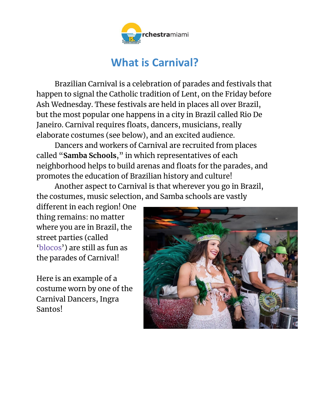

### **What is Carnival?**

Brazilian Carnival is a celebration of parades and festivals that happen to signal the Catholic tradition of Lent, on the Friday before Ash Wednesday. These festivals are held in places all over Brazil, but the most popular one happens in a city in Brazil called Rio De Janeiro. Carnival requires floats, dancers, musicians, really elaborate costumes (see below), and an excited audience.

Dancers and workers of Carnival are recruited from places called "**Samba Schools**," in which representatives of each neighborhood helps to build arenas and floats for the parades, and promotes the education of Brazilian history and culture!

Another aspect to Carnival is that wherever you go in Brazil, the costumes, music selection, and Samba schools are vastly

different in each region! One thing remains: no matter where you are in Brazil, the street parties (called 'blocos') are still as fun as the parades of Carnival!

Here is an example of a costume worn by one of the Carnival Dancers, Ingra Santos!

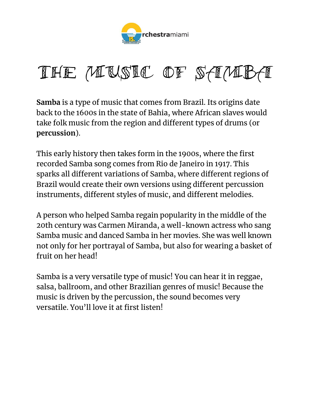

### THE MUSIC OF SAMBA

**Samba** is a type of music that comes from Brazil. Its origins date back to the 1600s in the state of Bahia, where African slaves would take folk music from the region and different types of drums (or **percussion**).

This early history then takes form in the 1900s, where the first recorded Samba song comes from Rio de Janeiro in 1917. This sparks all different variations of Samba, where different regions of Brazil would create their own versions using different percussion instruments, different styles of music, and different melodies.

A person who helped Samba regain popularity in the middle of the 20th century was Carmen Miranda, a well-known actress who sang Samba music and danced Samba in her movies. She was well known not only for her portrayal of Samba, but also for wearing a basket of fruit on her head!

Samba is a very versatile type of music! You can hear it in reggae, salsa, ballroom, and other Brazilian genres of music! Because the music is driven by the percussion, the sound becomes very versatile. You'll love it at first listen!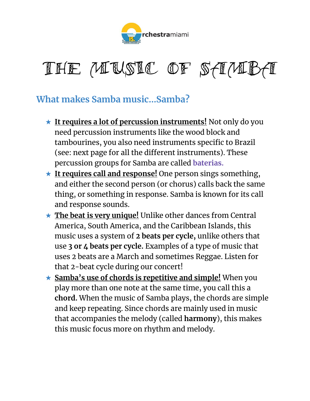



#### **What makes Samba music…Samba?**

- ★ **It requires a lot of percussion instruments!** Not only do you need percussion instruments like the wood block and tambourines, you also need instruments specific to Brazil (see: next page for all the different instruments). These percussion groups for Samba are called **baterias.**
- ★ **It requires call and response!** One person sings something, and either the second person (or chorus) calls back the same thing, or something in response. Samba is known for its call and response sounds.
- ★ **The beat is very unique!** Unlike other dances from Central America, South America, and the Caribbean Islands, this music uses a system of **2 beats per cycle,** unlike others that use **3 or 4 beats per cycle.** Examples of a type of music that uses 2 beats are a March and sometimes Reggae. Listen for that 2-beat cycle during our concert!
- ★ **Samba's use of chords is repetitive and simple!** When you play more than one note at the same time, you call this a **chord.** When the music of Samba plays, the chords are simple and keep repeating. Since chords are mainly used in music that accompanies the melody (called **harmony**), this makes this music focus more on rhythm and melody.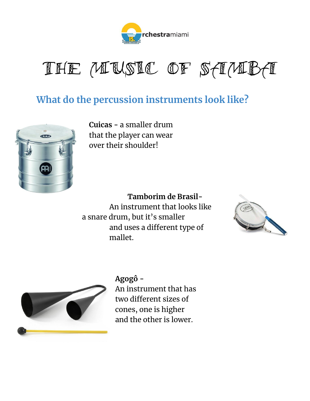

THE MUSIC OF SAMBA

#### **What do the percussion instruments look like?**



**Cuicas -** a smaller drum that the player can wear over their shoulder!

#### **Tamborim de Brasil-**

An instrument that looks like a snare drum, but it's smaller and uses a different type of mallet.





**Agogô -**

An instrument that has two different sizes of cones, one is higher and the other is lower.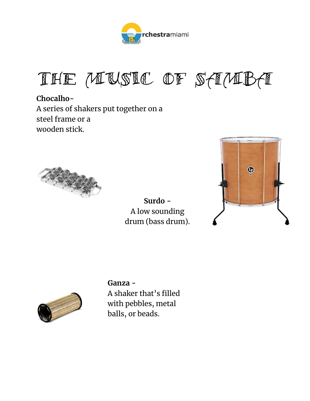

THE MUSIC OF SAMBA

**Chocalho-**A series of shakers put together on a steel frame or a wooden stick.



**Surdo -** A low sounding drum (bass drum).





#### **Ganza -** A shaker that's filled with pebbles, metal

balls, or beads.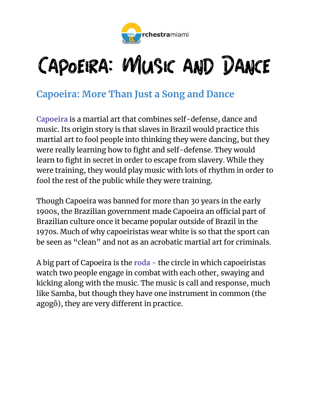

### CAPOEIRA: WIUSIC AND DANCE

#### **Capoeira: More Than Just a Song and Dance**

**Capoeira** is a martial art that combines self-defense, dance and music. Its origin story is that slaves in Brazil would practice this martial art to fool people into thinking they were dancing, but they were really learning how to fight and self-defense. They would learn to fight in secret in order to escape from slavery. While they were training, they would play music with lots of rhythm in order to fool the rest of the public while they were training.

Though Capoeira was banned for more than 30 years in the early 1900s, the Brazilian government made Capoeira an official part of Brazilian culture once it became popular outside of Brazil in the 1970s. Much of why capoeiristas wear white is so that the sport can be seen as "clean" and not as an acrobatic martial art for criminals.

A big part of Capoeira is the **roda -** the circle in which capoeiristas watch two people engage in combat with each other, swaying and kicking along with the music. The music is call and response, much like Samba, but though they have one instrument in common (the agogô), they are very different in practice.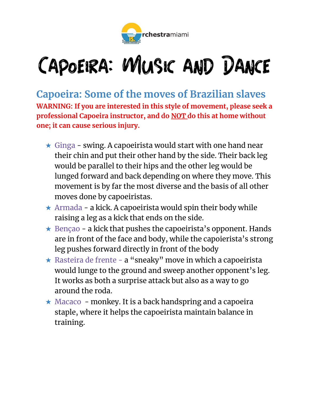

### CAPOEIRA: WIUSIC AND DANCE

**Capoeira: Some of the moves of Brazilian slaves WARNING: If you are interested in this style of movement, please seek a professional Capoeira instructor, and do NOT do this at home without one; it can cause serious injury.** 

- $\star$  Ginga swing. A capoeirista would start with one hand near their chin and put their other hand by the side. Their back leg would be parallel to their hips and the other leg would be lunged forward and back depending on where they move. This movement is by far the most diverse and the basis of all other moves done by capoeiristas.
- ★ Armada a kick. A capoeirista would spin their body while raising a leg as a kick that ends on the side.
- $\star$  Bençao a kick that pushes the capoeirista's opponent. Hands are in front of the face and body, while the capoierista's strong leg pushes forward directly in front of the body
- ★ Rasteira de frente a "sneaky" move in which a capoeirista would lunge to the ground and sweep another opponent's leg. It works as both a surprise attack but also as a way to go around the roda.
- $\star$  Macaco monkey. It is a back handspring and a capoeira staple, where it helps the capoeirista maintain balance in training.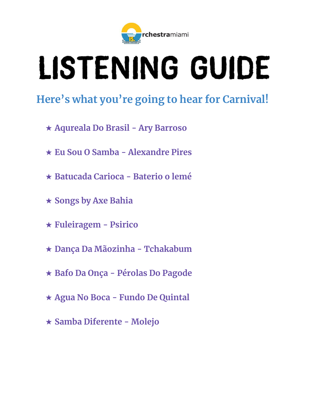

# LISTENING GUIDE

### **Here's what you're going to hear for Carnival!**

- ★ **Aqureala Do Brasil - Ary Barroso**
- ★ **Eu Sou O Samba - Alexandre Pires**
- ★ **Batucada Carioca - Baterio o lemé**
- ★ **Songs by Axe Bahia**
- ★ **Fuleiragem - Psirico**
- ★ **Dança Da Mãozinha - Tchakabum**
- ★ **Bafo Da Onça - Pérolas Do Pagode**
- ★ **Agua No Boca - Fundo De Quintal**
- ★ **Samba Diferente - Molejo**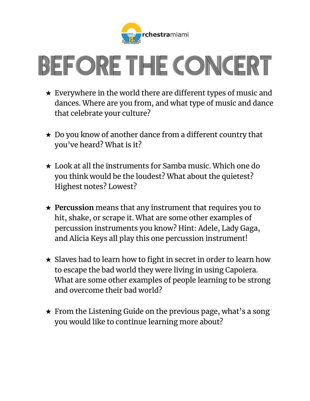

# EFORE THE CONCE

- $\star$  Everywhere in the world there are different types of music and dances. Where are you from, and what type of music and dance that celebrate your culture?
- ★ Do you know of another dance from a different country that you've heard? What is it?
- ★ Look at all the instruments for Samba music. Which one do you think would be the loudest? What about the quietest? Highest notes? Lowest?
- ★ **Percussion** means that any instrument that requires you to hit, shake, or scrape it. What are some other examples of percussion instruments you know? Hint: Adele, Lady Gaga, and Alicia Keys all play this one percussion instrument!
- $\star$  Slaves had to learn how to fight in secret in order to learn how to escape the bad world they were living in using Capoiera. What are some other examples of people learning to be strong and overcome their bad world?
- $\star$  From the Listening Guide on the previous page, what's a song you would like to continue learning more about?